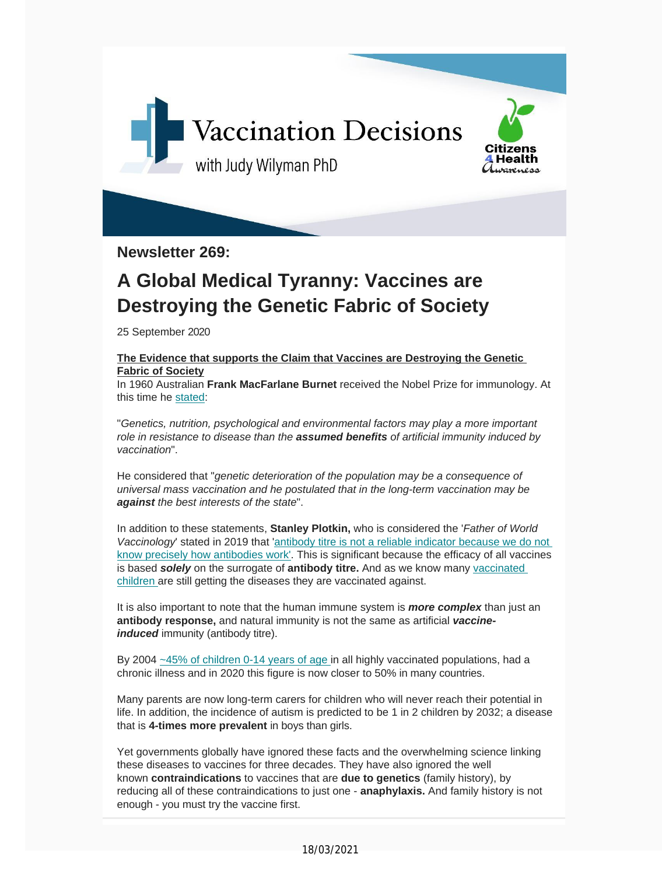

**Newsletter 269:**

### **A Global Medical Tyranny: Vaccines are Destroying the Genetic Fabric of Society**

25 September 2020

#### **The Evidence that supports the Claim that Vaccines are Destroying the Genetic Fabric of Society**

In 1960 Australian **Frank MacFarlane Burnet** received the Nobel Prize for immunology. At this time he st[ated:](https://vaccinationdecisions.us8.list-manage.com/track/click?u=f20605fde3732e41929f4a3f2&id=9e955fd61b&e=6b3f8c9022)

"*Genetics, nutrition, psychological and environmental factors may play a more important role in resistance to disease than the assumed benefits of artificial immunity induced by vaccination*".

He considered that "*genetic deterioration of the population may be a consequence of universal mass vaccination and he postulated that in the long-term vaccination may be against the best interests of the state*".

In addition to these statements, **Stanley Plotkin,** who is considered the '*Father of World Vaccinology*' stated in 2019 that 'antibody titre is not a reliable indicator because we do not know precisely how antibodies work'. This is [significant](https://vaccinationdecisions.us8.list-manage.com/track/click?u=f20605fde3732e41929f4a3f2&id=ab0231f645&e=6b3f8c9022) because the efficacy of all vaccines is based *solely* on the [surrogate](https://vaccinationdecisions.us8.list-manage.com/track/click?u=f20605fde3732e41929f4a3f2&id=ab0231f645&e=6b3f8c9022) of **antibody titre.** And as we know many vaccin[ated](https://vaccinationdecisions.us8.list-manage.com/track/click?u=f20605fde3732e41929f4a3f2&id=784d319b88&e=6b3f8c9022) children are still getting the diseases they are vaccinated against.

It is also important to note that the human immune system is *more complex* than just an **antibody response,** and natural immunity is not the same as artificial *vaccineinduced* immunity (antibody titre).

By 2004 ~45% of children 0-14 years of age in all highly vaccinated populations, had a chronic illness and in 2020 this [figure](https://vaccinationdecisions.us8.list-manage.com/track/click?u=f20605fde3732e41929f4a3f2&id=ef9cbe2a0a&e=6b3f8c9022) is now closer to 50% in many countries.

Many parents are now long-term carers for children who will never reach their potential in life. In addition, the incidence of autism is predicted to be 1 in 2 children by 2032; a disease that is **4-times more prevalent** in boys than girls.

Yet governments globally have ignored these facts and the overwhelming science linking these diseases to vaccines for three decades. They have also ignored the well known **contraindications** to vaccines that are **due to genetics** (family history), by reducing all of these contraindications to just one - **anaphylaxis.** And family history is not enough - you must try the vaccine first.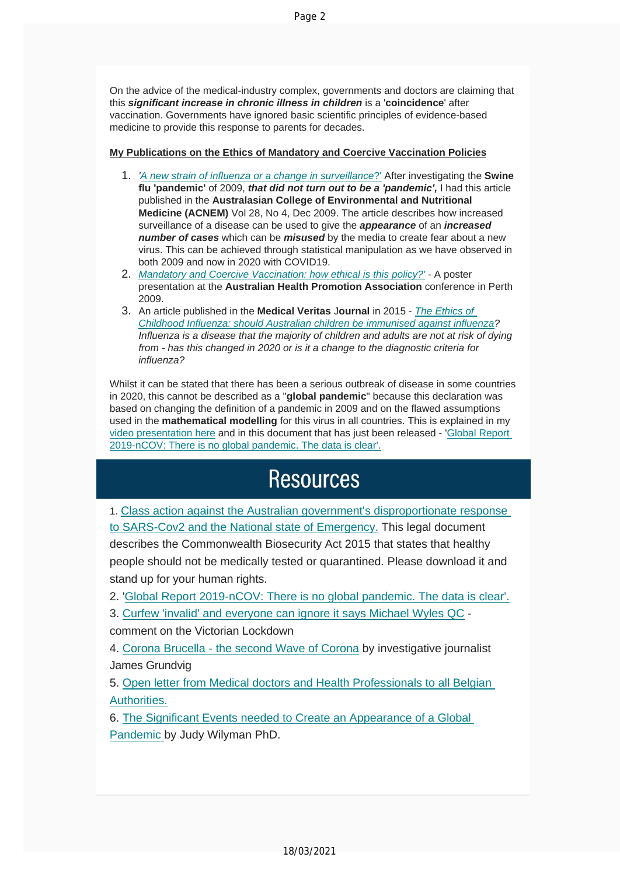On the advice of the medical-industry complex, governments and doctors are claiming that this *significant increase in chronic illness in children* is a '**coincidence**' after vaccination. Governments have ignored basic scientific principles of evidence-based medicine to provide this response to parents for decades.

#### **My Publications on the Ethics of [Mandatory](https://vaccinationdecisions.us8.list-manage.com/track/click?u=f20605fde3732e41929f4a3f2&id=c6ec5d6274&e=6b3f8c9022) and Coercive Vaccination Policies**

- 1. *'A new strain of influenza or a change in surveillance*?' After investigating the **Swine flu 'pandemic'** of 2009, *that did not turn out to be a 'pandemic',* I had this article published in the **Australasian College of Environmental and Nutritional Medicine (ACNEM)** Vol 28, No 4, Dec 2009. The article describes how increased surveillance of a disease can be used to give the *appearance* of an *increased number of cases* which can be *misused* by the media to create fear about a new virus. This can be achieved through statistical manipulation as we have observed in both 2009 and now in 2020 with [COVID19.](https://vaccinationdecisions.us8.list-manage.com/track/click?u=f20605fde3732e41929f4a3f2&id=4c471c08cf&e=6b3f8c9022)
- 2. *Mandatory and Coercive Vaccination: how ethical is this policy?' -* A poster presentation at the **Australian Health Promotion Association** conference in Perth 2009.
- 3. An article [published](https://vaccinationdecisions.us8.list-manage.com/track/click?u=f20605fde3732e41929f4a3f2&id=5f00fd3397&e=6b3f8c9022) in the **Medical Veritas** J**ournal** in 2015 *The E[th](https://vaccinationdecisions.us8.list-manage.com/track/click?u=f20605fde3732e41929f4a3f2&id=af03dd03b1&e=6b3f8c9022)[ics](https://vaccinationdecisions.us8.list-manage.com/track/click?u=f20605fde3732e41929f4a3f2&id=5f00fd3397&e=6b3f8c9022) of Childhood Influenza: should Australian children be immunised against influenza? Influenza is a disease that the majority of children and adults are not at risk of dying from - has this changed in 2020 or is it a change to the diagnostic criteria for influenza?*

Whilst it can be stated that there has been a serious outbreak of disease in some countries in 2020, this cannot be described as a "**global pandemic**" because this declaration was based on changing the definition of a pandemic in 2009 and on the flawed assumptions used in the **mathematical modelling** for this virus in all countries. This is explained in my video [presentation](https://vaccinationdecisions.us8.list-manage.com/track/click?u=f20605fde3732e41929f4a3f2&id=e8e8c37737&e=6b3f8c9022) here and in this document that has just been released - 'Global [Report](https://vaccinationdecisions.us8.list-manage.com/track/click?u=f20605fde3732e41929f4a3f2&id=0b39e693da&e=6b3f8c9022) [2019-nCOV:](https://vaccinationdecisions.us8.list-manage.com/track/click?u=f20605fde3732e41929f4a3f2&id=0b39e693da&e=6b3f8c9022) There is no global pandemic. The data is clear'.

## **Resources**

1. Class action against the Australian government's [disproportionate](https://vaccinationdecisions.us8.list-manage.com/track/click?u=f20605fde3732e41929f4a3f2&id=211e9f10c3&e=6b3f8c9022) response to [SARS-Cov2](https://vaccinationdecisions.us8.list-manage.com/track/click?u=f20605fde3732e41929f4a3f2&id=211e9f10c3&e=6b3f8c9022) and the National state of Emergency. This legal document

describes the Commonwealth Biosecurity Act 2015 that states that healthy people should not be medically tested or quarantined. Please download it and stand up for your human rights.

2. 'Global Report 2019-nCOV: There is no global pandemic. The data is clear'.

3. Curfew 'invalid' and [everyone](https://vaccinationdecisions.us8.list-manage.com/track/click?u=f20605fde3732e41929f4a3f2&id=3ba2de7d0b&e=6b3f8c9022) can ignore it says Michael Wyles QC -

comment on the Victorian [Lockdown](https://vaccinationdecisions.us8.list-manage.com/track/click?u=f20605fde3732e41929f4a3f2&id=ae8560194e&e=6b3f8c9022)

4. Corona Brucella - the second Wave of Corona by investigative journalist James [Grundvig](https://vaccinationdecisions.us8.list-manage.com/track/click?u=f20605fde3732e41929f4a3f2&id=c50426d74f&e=6b3f8c9022)

5. Open letter from Medical doctors and Health Professionals to all Belgian Aut[horities.](https://vaccinationdecisions.us8.list-manage.com/track/click?u=f20605fde3732e41929f4a3f2&id=bca87d13c7&e=6b3f8c9022)

6. The [Signifi](https://vaccinationdecisions.us8.list-manage.com/track/click?u=f20605fde3732e41929f4a3f2&id=bca87d13c7&e=6b3f8c9022)cant Events needed to Create an Appearance of a Global Pandemic by Judy [Wilyman](https://vaccinationdecisions.us8.list-manage.com/track/click?u=f20605fde3732e41929f4a3f2&id=75e7b7ad84&e=6b3f8c9022) PhD.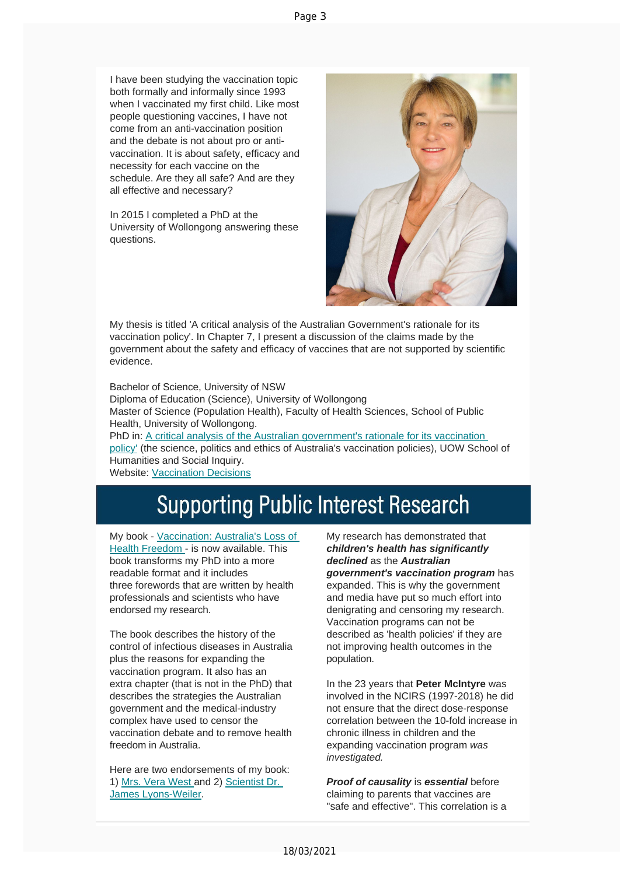I have been studying the vaccination topic both formally and informally since 1993 when I vaccinated my first child. Like most people questioning vaccines, I have not come from an anti-vaccination position and the debate is not about pro or antivaccination. It is about safety, efficacy and necessity for each vaccine on the schedule. Are they all safe? And are they all effective and necessary?

In 2015 I completed a PhD at the University of Wollongong answering these questions.



My thesis is titled 'A critical analysis of the Australian Government's rationale for its vaccination policy'. In Chapter 7, I present a discussion of the claims made by the government about the safety and efficacy of vaccines that are not supported by scientific evidence.

Bachelor of Science, University of NSW Diploma of Education (Science), University of Wollongong Master of Science (Population Health), Faculty of Health Sciences, School of Public Health, University of Wollongong. PhD in: A critical analysis of the Australian [government's](https://vaccinationdecisions.us8.list-manage.com/track/click?u=f20605fde3732e41929f4a3f2&id=61f5ca2ba5&e=6b3f8c9022) rationale for its vaccination [policy'](https://vaccinationdecisions.us8.list-manage.com/track/click?u=f20605fde3732e41929f4a3f2&id=61f5ca2ba5&e=6b3f8c9022) (the science, politics and ethics of Australia's vaccination policies), UOW School of Humanities and Social Inquiry. Website: V[accination](https://vaccinationdecisions.us8.list-manage.com/track/click?u=f20605fde3732e41929f4a3f2&id=8dacaab8c2&e=6b3f8c9022) Decisions

# **Supporting Public Interest Research**

My book - Vaccination: Australia's Loss of Health Freedom - is now [available.](https://vaccinationdecisions.us8.list-manage.com/track/click?u=f20605fde3732e41929f4a3f2&id=11207ee9fe&e=6b3f8c9022) This book [transforms](https://vaccinationdecisions.us8.list-manage.com/track/click?u=f20605fde3732e41929f4a3f2&id=11207ee9fe&e=6b3f8c9022) my PhD into a more readable format and it includes three forewords that are written by health professionals and scientists who have endorsed my research.

The book describes the history of the control of infectious diseases in Australia plus the reasons for expanding the vaccination program. It also has an extra chapter (that is not in the PhD) that describes the strategies the Australian government and the medical-industry complex have used to censor the vaccination debate and to remove health freedom in Australia.

Here are two endorsements of my book: 1) Mrs. Vera West and 2) Scientist Dr. James Lyons-Weiler.

My research has demonstrated that *children's health has significantly declined* as the *Australian government's vaccination program* has expanded. This is why the government and media have put so much effort into denigrating and censoring my research. Vaccination programs can not be described as 'health policies' if they are not improving health outcomes in the population.

In the 23 years that **Peter McIntyre** was involved in the NCIRS (1997-2018) he did not ensure that the direct dose-response correlation between the 10-fold increase in chronic illness in children and the expanding vaccination program *was investigated.*

*Proof of causality* is *essential* before claiming to parents that vaccines are "safe and effective". This correlation is a